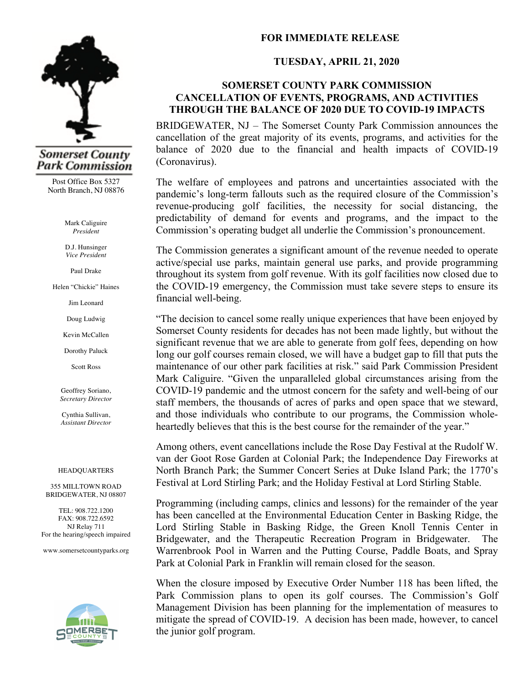

# **Somerset County** Park Commission

Post Office Box 5327 North Branch, NJ 08876

> Mark Caliguire *President*

D.J. Hunsinger *Vice President*

Paul Drake

Helen "Chickie" Haines

Jim Leonard

Doug Ludwig

Kevin McCallen

Dorothy Paluck

Scott Ross

Geoffrey Soriano, *Secretary Director*

Cynthia Sullivan, *Assistant Director*

#### HEADQUARTERS

355 MILLTOWN ROAD BRIDGEWATER, NJ 08807

TEL: 908.722.1200 FAX: 908.722.6592 NJ Relay 711 For the hearing/speech impaired

www.somersetcountyparks.org



# **FOR IMMEDIATE RELEASE**

## **TUESDAY, APRIL 21, 2020**

### **SOMERSET COUNTY PARK COMMISSION CANCELLATION OF EVENTS, PROGRAMS, AND ACTIVITIES THROUGH THE BALANCE OF 2020 DUE TO COVID-19 IMPACTS**

BRIDGEWATER, NJ – The Somerset County Park Commission announces the cancellation of the great majority of its events, programs, and activities for the balance of 2020 due to the financial and health impacts of COVID-19 (Coronavirus).

The welfare of employees and patrons and uncertainties associated with the pandemic's long-term fallouts such as the required closure of the Commission's revenue-producing golf facilities, the necessity for social distancing, the predictability of demand for events and programs, and the impact to the Commission's operating budget all underlie the Commission's pronouncement.

The Commission generates a significant amount of the revenue needed to operate active/special use parks, maintain general use parks, and provide programming throughout its system from golf revenue. With its golf facilities now closed due to the COVID-19 emergency, the Commission must take severe steps to ensure its financial well-being.

"The decision to cancel some really unique experiences that have been enjoyed by Somerset County residents for decades has not been made lightly, but without the significant revenue that we are able to generate from golf fees, depending on how long our golf courses remain closed, we will have a budget gap to fill that puts the maintenance of our other park facilities at risk." said Park Commission President Mark Caliguire. "Given the unparalleled global circumstances arising from the COVID-19 pandemic and the utmost concern for the safety and well-being of our staff members, the thousands of acres of parks and open space that we steward, and those individuals who contribute to our programs, the Commission wholeheartedly believes that this is the best course for the remainder of the year."

Among others, event cancellations include the Rose Day Festival at the Rudolf W. van der Goot Rose Garden at Colonial Park; the Independence Day Fireworks at North Branch Park; the Summer Concert Series at Duke Island Park; the 1770's Festival at Lord Stirling Park; and the Holiday Festival at Lord Stirling Stable.

Programming (including camps, clinics and lessons) for the remainder of the year has been cancelled at the Environmental Education Center in Basking Ridge, the Lord Stirling Stable in Basking Ridge, the Green Knoll Tennis Center in Bridgewater, and the Therapeutic Recreation Program in Bridgewater. The Warrenbrook Pool in Warren and the Putting Course, Paddle Boats, and Spray Park at Colonial Park in Franklin will remain closed for the season.

When the closure imposed by Executive Order Number 118 has been lifted, the Park Commission plans to open its golf courses. The Commission's Golf Management Division has been planning for the implementation of measures to mitigate the spread of COVID-19. A decision has been made, however, to cancel the junior golf program.